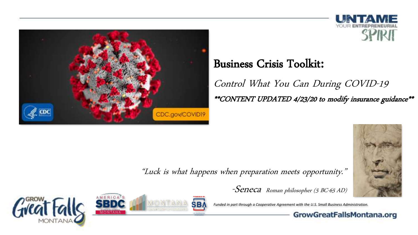



#### Business Crisis Toolkit:

Control What You Can During COVID-19 \*\*CONTENT UPDATED 4/23/20 to modify insurance guidance\*\*



"Luck is what happens when preparation meets opportunity."



*Funded in part through a Cooperative Agreement with the U.S. Small Business Administration.*





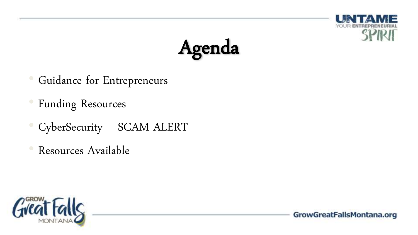



- Guidance for Entrepreneurs
- Funding Resources
- CyberSecurity SCAM ALERT
- Resources Available

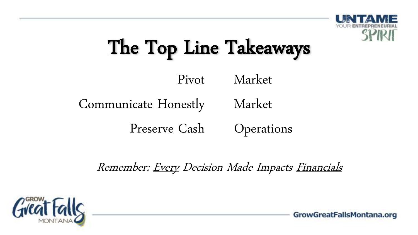

## The Top Line Takeaways

Pivot Market

#### Communicate Honestly Market

Preserve Cash **Operations** 

Remember: Every Decision Made Impacts Financials

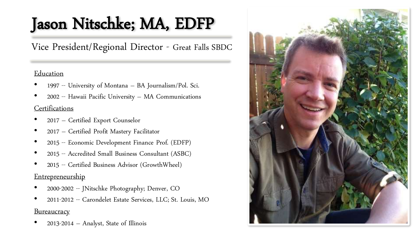## Jason Nitschke; MA, EDFP

Vice President/Regional Director - Great Falls SBDC

#### Education

- 1997 -- University of Montana BA Journalism/Pol. Sci.
- 2002 -- Hawaii Pacific University MA Communications **Certifications**
- 2017 Certified Export Counselor
- 2017 Certified Profit Mastery Facilitator
- 2015 -- Economic Development Finance Prof. (EDFP)
- 2015 -- Accredited Small Business Consultant (ASBC)
- 2015 -- Certified Business Advisor (GrowthWheel)

#### Entrepreneurship

- 2000-2002 -- JNitschke Photography; Denver, CO
- 2011-2012 -- Carondelet Estate Services, LLC; St. Louis, MO **Bureaucracy**
- 2013-2014 Analyst, State of Illinois

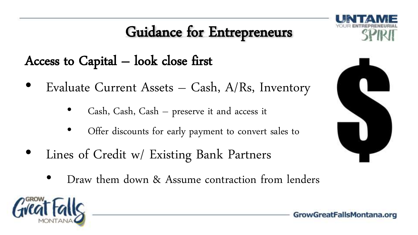

Access to Capital  $-$  look close first

- Evaluate Current Assets Cash, A/Rs, Inventory
	- Cash, Cash, Cash preserve it and access it
	- Offer discounts for early payment to convert sales to
- Lines of Credit w/ Existing Bank Partners
	- Draw them down & Assume contraction from lenders



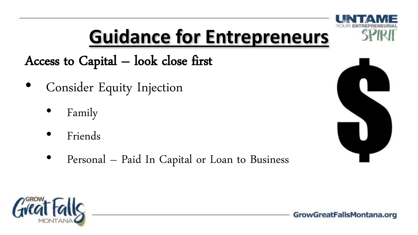Access to Capital – look close first

- Consider Equity Injection
	- Family
	- Friends
	- Personal Paid In Capital or Loan to Business



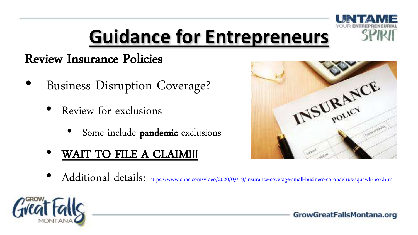

#### Review Insurance Policies

- Business Disruption Coverage?
	- Review for exclusions
		- Some include **pandemic** exclusions
	- WAIT TO FILE A CLAIM!!!



• Additional details: <https://www.cnbc.com/video/2020/03/19/insurance-coverage-small-business-coronavirus-squawk-box.html>

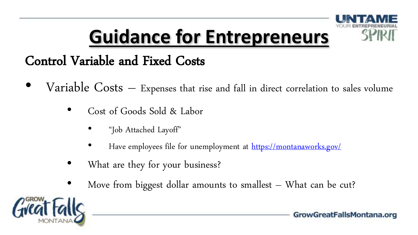

### Control Variable and Fixed Costs

- Variable  $Costs$  Expenses that rise and fall in direct correlation to sales volume
	- Cost of Goods Sold & Labor
		- "Job Attached Layoff"
		- Have employees file for unemployment at<https://montanaworks.gov/>
	- What are they for your business?
	- Move from biggest dollar amounts to smallest  $-$  What can be cut?

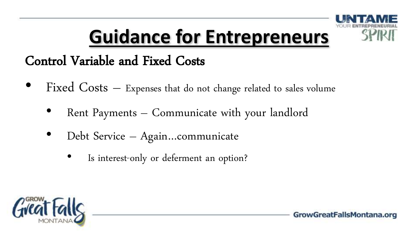

### Control Variable and Fixed Costs

- Fixed  $Costs$  Expenses that do not change related to sales volume
	- Rent Payments Communicate with your landlord
	- Debt Service Again…communicate
		- Is interest-only or deferment an option?

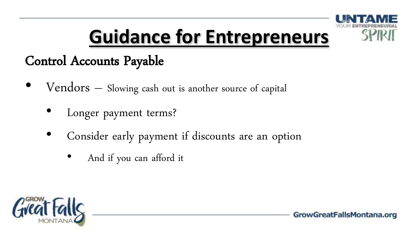

### Control Accounts Payable

- Vendors Slowing cash out is another source of capital
	- Longer payment terms?
	- Consider early payment if discounts are an option
		- And if you can afford it

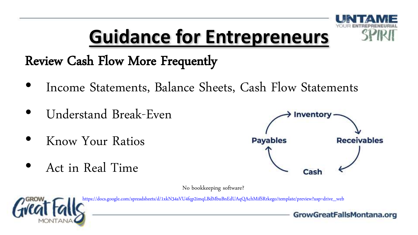

Review Cash Flow More Frequently

- Income Statements, Balance Sheets, Cash Flow Statements
- Understand Break-Even
- Know Your Ratios
- Act in Real Time



No bookkeeping software?



[https://docs.google.com/spreadsheets/d/1xkN34aVU4fqp2imqLBdMbuBnEdUAqQAchMifSRrkego/template/preview?usp=drive\\_web](https://docs.google.com/spreadsheets/d/1xkN34aVU4fqp2imqLBdMbuBnEdUAqQAchMifSRrkego/template/preview?usp=drive_web)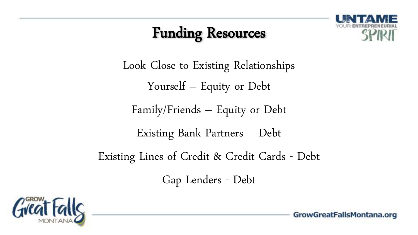

Look Close to Existing Relationships Yourself – Equity or Debt

Family/Friends – Equity or Debt

Existing Bank Partners – Debt

Existing Lines of Credit & Credit Cards - Debt

Gap Lenders - Debt

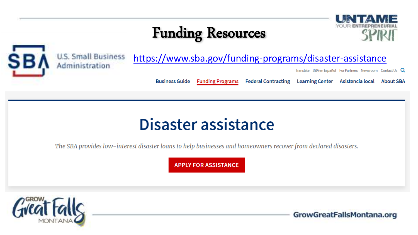



#### <https://www.sba.gov/funding-programs/disaster-assistance>

Translate SBA en Español For Partners Newsroom Contact Us Q

**Business Guide Funding Programs** 

#### Federal Contracting Learning Center Asistencia local About SBA

### Disaster assistance

The SBA provides low-interest disaster loans to help businesses and homeowners recover from declared disasters.

**APPLY FOR ASSISTANCE** 

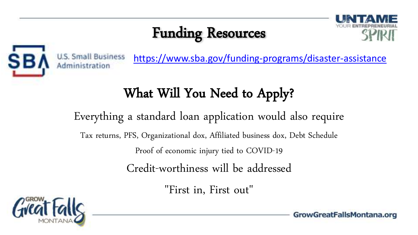



<https://www.sba.gov/funding-programs/disaster-assistance>

## What Will You Need to Apply?

Everything a standard loan application would also require

Tax returns, PFS, Organizational dox, Affiliated business dox, Debt Schedule

Proof of economic injury tied to COVID-19

Credit-worthiness will be addressed

"First in, First out"

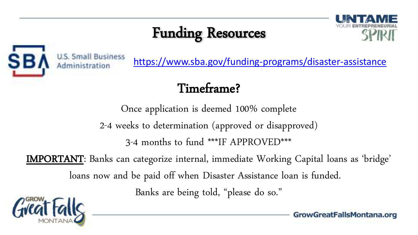



<https://www.sba.gov/funding-programs/disaster-assistance>

### Timeframe?

Once application is deemed 100% complete

2-4 weeks to determination (approved or disapproved)

3-4 months to fund \*\*\*IF APPROVED\*\*\*

IMPORTANT: Banks can categorize internal, immediate Working Capital loans as 'bridge'

loans now and be paid off when Disaster Assistance loan is funded.

Banks are being told, "please do so."

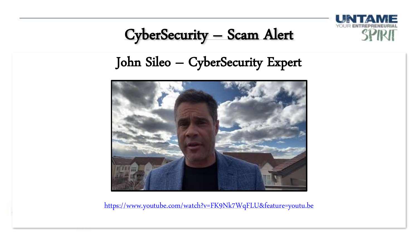

CyberSecurity – Scam Alert

### John Sileo – CyberSecurity Expert



<https://www.youtube.com/watch?v=FK9Nk7WqFLU&feature=youtu.be>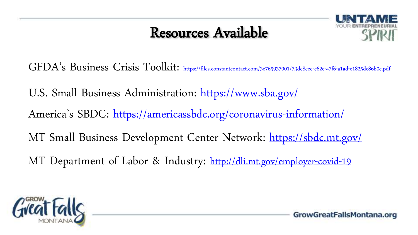### Resources Available



GFDA's Business Crisis Toolkit: <https://files.constantcontact.com/3e765937001/73de8eee-c62e-47f6-a1ad-e1825de86b0c.pdf>

U.S. Small Business Administration: <https://www.sba.gov/>

America's SBDC: <https://americassbdc.org/coronavirus-information/>

MT Small Business Development Center Network: <https://sbdc.mt.gov/>

MT Department of Labor & Industry: <http://dli.mt.gov/employer-covid-19>

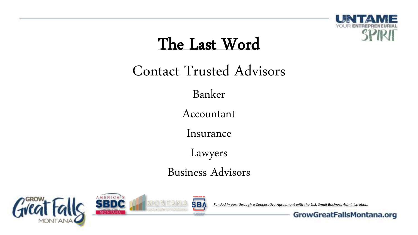

## The Last Word

### Contact Trusted Advisors

Banker

Accountant

Insurance

Lawyers

Business Advisors







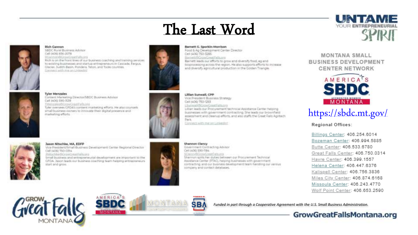# The Last Word



#### **Rich Gannon**

SBDC Rural Business Advisor Call (406) 836-2078

UCannons@CoyeCroatSalls.com<br>Nich is on the front lines of our business coaching and training services to existing businesses and startup entrepreneurs in Cascade, Fergus, Glacier, Judith Basin, Pondera, Teton, and Todie counties. Connect with my securities of





**Tyler Menzales** Content Marketing Director/SBDC Business Achitect Call Jacks 590-3539 TManzako@CrowCrootPals.nici Tyler oversees GFDA's content marketing efforts. He also counsels imal/business owners to innovate their digital preservoe and marketing efforts.





Jason Nitschke, MA, EDFP

Vice President/limall Business Development Center Regional Director Call (406) 750-0314 PútschleißGrowDmatFalls.org

Small business and antrepreneurial development are important to the CFCA, 34son leads our fausiness coaching team helping entrepreneurs start and grow.



Food & An Development Center Director Cell (400-760-3265) Sametill CrowCreat Falls are

Barrett leads our efforts to grow and diversify food, ag and bioprocessing across the region. He also supports efforts to increase and diversify agricultural production in the Golden Triangle.

Littlen Sunwall, CPP Vice Directions Business Strategy CHI NOD TRIVIDES **SumishbCrowCreatWitch** 

Lillian learn our Direcurement terminical Assistance Center Nelsing businesses with government contracting. She leads our brownfield. assessment and cleanup efforts, and also staffs the Creek Fails Agnitecty Dark.

Convect with me in Linkedin?

**Shannon Clancy** Covennant Contracting Advisor Cell (400) 590-TBI4 SClaricy@GrowCreatFalls.cro Shannon spits her duties between our Procurement Technical

Assistance Center (PTAC), helping businesses with government contracting and our business development team handling our various. company and contact databases.



UINTAME

YOUR ENTREPRE



## <https://sbdc.mt.gov/>

Billings Center: 406.254.6014 Bozeman Center: 406.994.5885 Butte Center: 406.533.6780 Great Falls Center: 406.750.0314 Havre Center: 406.399.1557 Helena Center: 406.447.6376 Kalispell Center: 406.756.3836 Miles City Center: 406.874.6168 Missoula Center: 406.243.4770 Wolf Point Center: 406.653.2590







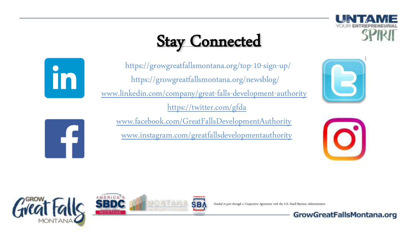## Stay Connected



<https://growgreatfallsmontana.org/top-10-sign-up/> <https://growgreatfallsmontana.org/newsblog/> [www.linkedin.com/company/great-falls-development-authority](http://www.linkedin.com/company/great-falls-development-authority) <https://twitter.com/gfda> [www.facebook.com/GreatFallsDevelopmentAuthority](http://www.facebook.com/GreatFallsDevelopmentAuthority)

[www.instagram.com/greatfallsdevelopmentauthority](http://www.instagram.com/greatfallsdevelopmentauthority)

\$B≬